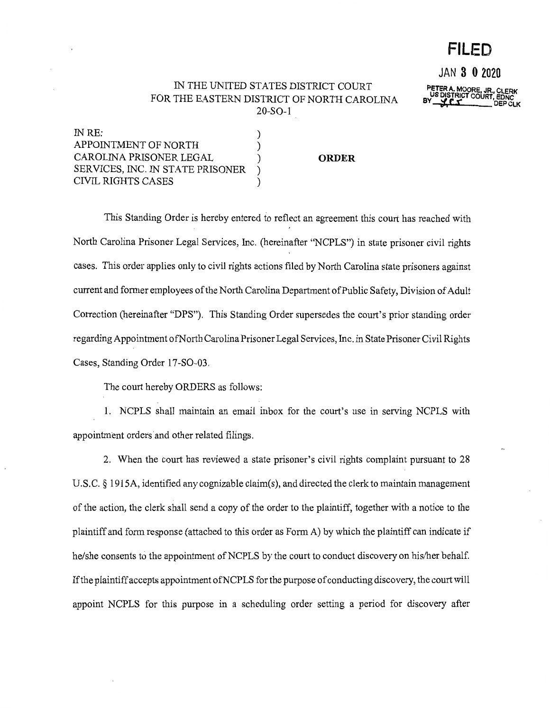# **FILED**

**JAN 3 0 2020** 

**PETER A. MOORE, JR., CLERK<br>US DISTRICT COURT, EDNC<br>BY \_\_<b>\_\_\_\_\_\_\_\_\_\_\_\_\_\_**\_\_\_DEP CLK

# IN THE UNITED STATES DISTRICT COURT FOR THE EASTERN DISTRICT OF NORTH CAROLINA 20-SO-l

IN RE: ) APPOINTMENT OF NORTH  $)$ CAROLINA PRISONER LEGAL ) SERVICES, INC. IN STATE PRISONER CIVIL RIGHTS CASES ) **ORDER** 

This Standing Order is hereby entered to reflect an agreement this court has reached with North Carolina Prisoner Legal Services, Inc. (hereinafter "NCPLS") in state prisoner civil rights cases. This order applies only to civil rights actions filed by North Carolina state prisoners against current and former employees of the North Carolina Department of Public Safety, Division of Adult Correction (hereinafter "DPS"). This Standing Order supersedes the court's prior standing order regarding Appointment ofNorth Carolina Prisoner Legal Services, Inc. in State Prisoner Civil Rights Cases, Standing Order 17-SO-03.

The court hereby ORDERS as follows:

1. NCPLS shall maintain an email inbox for the court's use in serving NCPLS with appointment orders·and other related filings.

2. When the court has reviewed a state prisoner's civil rights complaint pursuant to 28 U.S.C. § 1915A, identified any cognizable claim(s), and directed the clerk to maintain management of the action, the clerk shall send a copy of the order to the plaintiff, together with a notice to the plaintiff and form response (attached to this order as Form A) by which the plaintiff can indicate if he/she consents to the appointment of NCPLS by the court to conduct discovery on his/her behalf. If the plain tiff accepts appointment of NCPLS for the purpose of conducting discovery, the court will appoint NCPLS for this purpose in a scheduling order setting a period for discovery after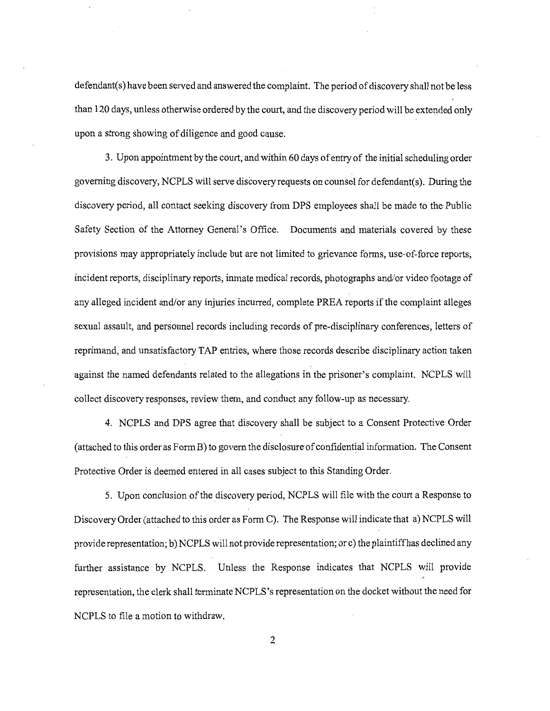defendant(s) have been served and answered the complaint. The period of discovery shall not be less than 120 days, unless otherwise ordered by the court, and the discovery period will be extended only upon a strong showing of diligence and good cause.

3. Upon appointment by the court, and within 60 days of entry of the initial scheduling order governing discovery, NCPLS will serve discovery requests on counsel for defendant(s). During the discovery period, all contact seeking discovery from DPS employees shall be made to the Public Safety Section of the Attorney General's Office. Documents and materials covered by these provisions may appropriately include but are not limited to grievance forms, use-of-force reports, incident reports, disciplinary reports, inmate medical records, photographs and/or video footage of any alleged incident and/or any injuries incurred, complete PREA reports if the complaint alleges sexual assault, and personnel records including records of pre-disciplinary conferences, letters of reprimand, and unsatisfactory TAP entries, where those records describe disciplinary action taken against the named defendants related to the allegations in the prisoner's complaint. NCPLS will collect discovery responses, review them, and conduct any follow-up as necessary.

4. NCPLS and DPS agree that discovery shall be subject to a Consent Protective Order (attached to this order as Form B) to govern the disclosure of confidential information. The Consent Protective Order is deemed entered in all cases subject to this Standing Order.

5. Upon conclusion of the discovery period, NCPLS will file with the court a Response to Discovery Order (attached to this order as Form C). The Response will indicate that a) NCPLS will provide representation; b) NCPLS will not provide representation; or c) the plaintiff has declined any further assistance by NCPLS. Unless the Response indicates that NCPLS will provide representation, the clerk shall terminate NCPLS' s representation on the docket without the need for NCPLS to file a motion to withdraw.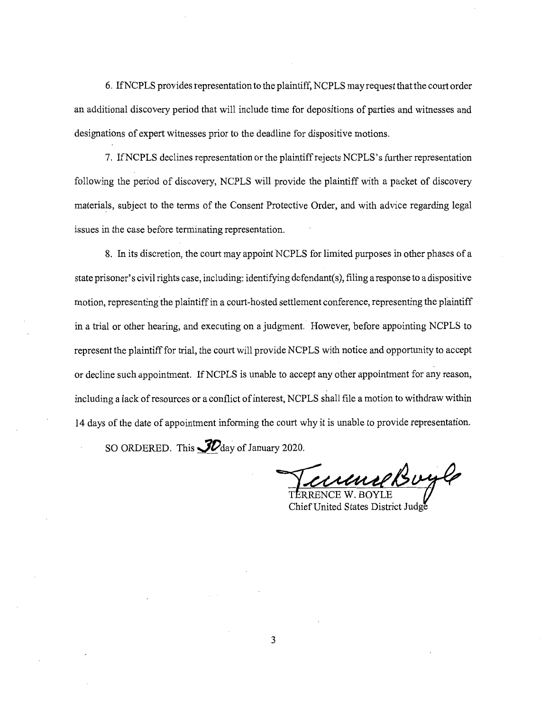6. IfNCPLS provides representation to the plaintiff, NCPLS may request that the court order an additional discovery period that will include time for depositions of parties and witnesses and designations of expert witnesses prior to the deadline for dispositive motions.

7. IfNCPLS declines representation or the plaintiff rejects NCPLS's further representation following the period of discovery, NCPLS will provide the plaintiff with a packet of discovery materials, subject to the terms of the Consent Protective Order, and with advice regarding legal issues in the case before terminating representation.

8. In its discretion, the court may appoint NCPLS for limited purposes in other phases of a state prisoner's civil rights case, including: identifying defendant( s ), filing a response to a dispositive motion, representing the plaintiff in a court-hosted settlement conference, representing the plaintiff in a trial or other hearing, and executing on a judgment. However, before appointing NCPLS to represent the plaintiff for trial, the court will provide NCPLS with notice and opportunity to accept or decline such appointment. If NCPLS is unable to accept any other appointment for any reason, including a lack of resources or a conflict of interest, NCPLS shall file a motion to withdraw within 14 days of the date of appointment informing the court why it is unable to provide representation.

SO ORDERED. This **JD** day of January 2020.

*CUMMERBUYG* 

Chief United States District Judge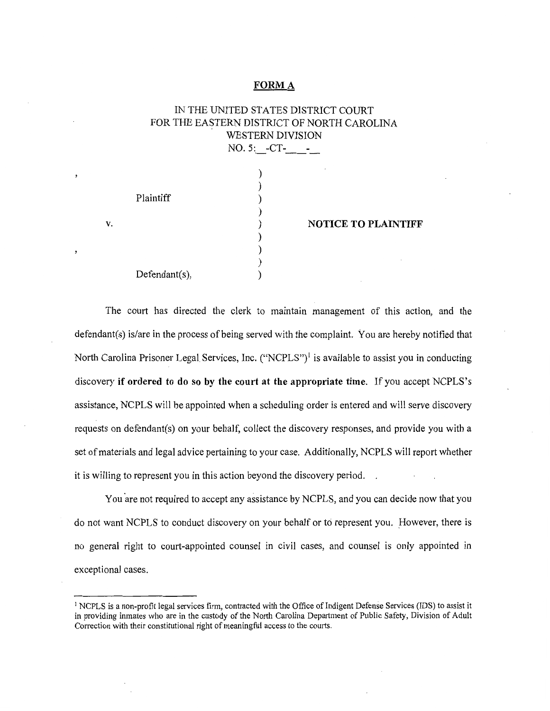#### **FORMA**

# IN THE UNITED STATES DISTRICT COURT FOR THE EASTERN DISTRICT OF NORTH CAROLINA WESTERN DIVISION NO. 5: -CT-

| Plaintiff     | <b>NOTICE TO PLAINTIFF</b> |
|---------------|----------------------------|
| Defendant(s), |                            |

**v.** 

The court has directed the clerk to maintain management of this action, and the defendant(s) is/are in the process of being served with the complaint. You are hereby notified that North Carolina Prisoner Legal Services, Inc. ("NCPLS")<sup>1</sup> is available to assist you in conducting discovery **if ordered to do so by the court at the appropriate time.** If you accept NCPLS's assistance, NCPLS will be appointed when a scheduling order is entered and will serve discovery requests on defendant(s) on your behalf, collect the discovery responses, and provide you with a set of materials and legal advice pertaining to your case. Additionally, NCPLS will report whether it is willing to represent you in this action beyond the discovery period.

You are not required to accept any assistance by NCPLS, and you can decide now that you do not want NCPLS to conduct discovery on your behalf or to represent you. However, there is no general right to court-appointed counsel in civil cases, and counsel is only appointed in exceptional cases.

<sup>&</sup>lt;sup>1</sup> NCPLS is a non-profit legal services firm, contracted with the Office of Indigent Defense Services (IDS) to assist it in providing inmates who are in the custody of the North Carolina Department of Public Safety, Division of Adult Correction with their constitutional right of meaningful access to the courts.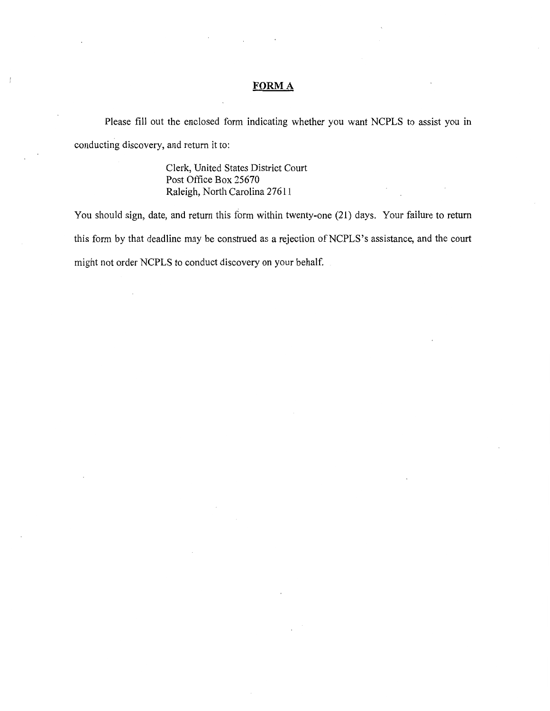## **FORMA**

Please fill out the enclosed form indicating whether you want NCPLS to assist you in conducting discovery, and return it to:

> Clerk, United States District Court Post Office Box 25670 Raleigh, North Carolina 27611

You should sign, date, and return this form within twenty-one (21) days. Your failure to return this form by that deadline may be construed as a rejection of NCPLS's assistance, and the court might not order NCPLS to conduct discovery on your behalf.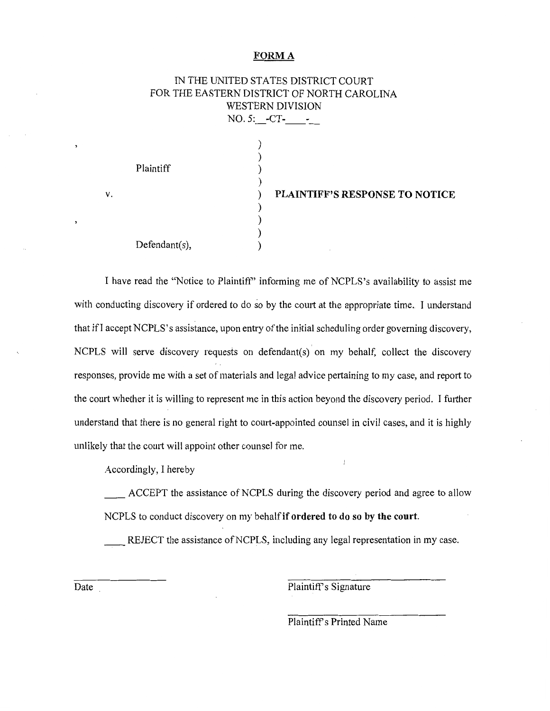# **FORMA**

|           |                  | IN THE UNITED STATES DISTRICT COURT        |
|-----------|------------------|--------------------------------------------|
|           |                  | FOR THE EASTERN DISTRICT OF NORTH CAROLINA |
|           | WESTERN DIVISION |                                            |
|           | $NO.5:$ -CT-     |                                            |
| Plaintiff |                  | PLAINTIFF'S RESPONSE TO NOTICE             |

) ) )

I have read the "Notice to Plaintiff" informing me of NCPLS's availability to assist me with conducting discovery if ordered to do so by the court at the appropriate time. I understand that ifI accept NCPLS's assistance, upon entry of the initial scheduling order governing discovery, NCPLS will serve discovery requests on defendant(s) on my behalf, collect the discovery responses, provide me with a set of materials and legal advice pertaining to my case, and report to the court whether it is willing to represent me in this action beyond the discovery period. I further understand that there is no general right to court-appointed counsel in civil cases, and it is highly unlikely that the court will appoint other counsel for me.

Accordingly, I hereby

Defendant(s),

**V.** 

ACCEPT the assistance of NCPLS during the discovery period and agree to allow NCPLS to conduct discovery on my behalf **if ordered to do so by the court.** 

REJECT the assistance of NCPLS, including any legal representation in my case.

Date

Plaintiff's Signature

Plaintiff's Printed Name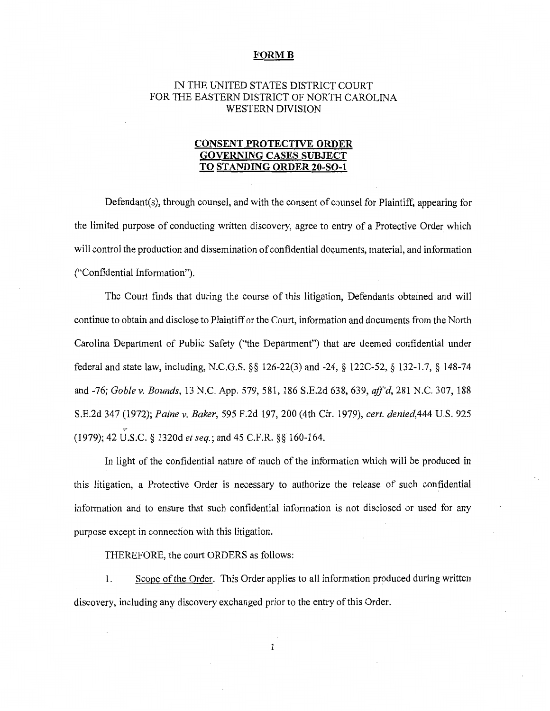# IN THE UNITED STATES DISTRICT COURT FOR THE EASTERN DISTRICT OF NORTH CAROLINA WESTERN DIVISION

# **CONSENT PROTECTIVE ORDER GOVERNING CASES SUBJECT TO STANDING ORDER 20-SO-l**

Defendant(s), through counsel, and with the consent of counsel for Plaintiff, appearing for the limited purpose of conducting written discovery, agree to entry of a Protective Order which will control the production and dissemination of confidential documents, material, and information ("Confidential Information").

The Court finds that during the course of this litigation, Defendants obtained and will continue to obtain and disclose to Plaintiff or the Court, information and documents from the North Carolina Department of Public Safety ("the Department") that are deemed confidential under federal and state law, including, N.C.G.S. §§ 126-22(3) and -24, § 122C-52, § 132-1.7, § 148-74 and -76; *Goble v. Bounds,* 13 N.C. App. 579,581, 186 S.E.2d 638,639, *aff'd,* 281 N.C. 307, 188 S.E.2d 347 (1972); *Paine v. Baker,* 595 F.2d 197, 200 (4th Cir. 1979), *cert. denied,444* U.S. 925 .,.. (1979); 42 U.S.C. § 1320d *et seq.;* and 45 C.F.R. §§ 160-164.

In light of the confidential nature of much of the information which will be produced in this litigation, a Protective Order is necessary to authorize the release of such confidential information and to ensure that such confidential information is not disclosed or used for any purpose except in connection with this litigation.

. THEREFORE, the court ORDERS as follows:

1. Scope of the Order. This Order applies to all information produced during written discovery, including any discovery exchanged prior to the entry of this Order.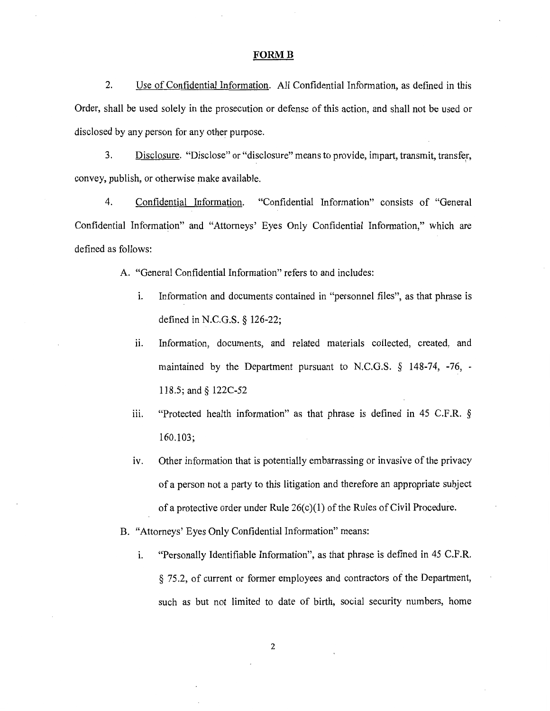2. Use of Confidential Information. All Confidential Information, as defined in this Order, shall be used solely in the prosecution or defense of this action, and shall not be used or disclosed by any person for any other purpose.

3. Disclosure. "Disclose" or "disclosure" means to provide, impart, transmit, transfer, • I convey, publish, or otherwise make available.

4. Confidential Information. "Confidential Information" consists of "General Confidential Information" and "Attorneys' Eyes Only Confidential Information," which are defined as follows:

A. "General Confidential Information" refers to and includes:

- i. Information and documents contained in "personnel files", as that phrase is defined in N.C.G.S. § 126-22;
- ii. Information, documents, and related materials collected, created, and maintained by the Department pursuant to N.C.G.S. § 148-74, -76, - 118.5; and§ 122C-52
- iii. "Protected health information" as that phrase is defined in 45 C.F.R. § 160.103;
- iv. Other information that is potentially embarrassing or invasive of the privacy of a person not a party to this litigation and therefore an appropriate subject of a protective order under Rule  $26(c)(1)$  of the Rules of Civil Procedure.

B. "Attorneys' Eyes Only Confidential Information" means:

1. "Personally Identifiable Information", as that phrase is defined in 45 C.F.R. § 75.2, of current or former employees and contractors of the Department, such as but not limited to date of birth, social security numbers, home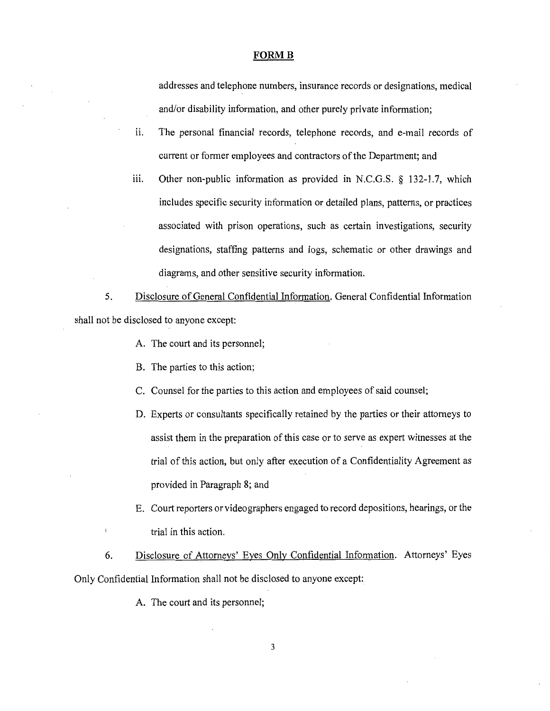addresses and telephone numbers, insurance records or designations, medical and/or disability information, and other purely private information;

- ii. The personal financial records, telephone records, and e-mail records of current or former employees and contractors of the Department; and
- iii. Other non-public information as provided in N.C.G.S. § 132-1.7, which includes specific security information or detailed plans, patterns, or practices associated with prison operations, such as certain investigations, security designations, staffing patterns and logs, schematic or other drawings and diagrams, and other sensitive security information.

5. Disclosure of General Confidential Information. General Confidential Information shall not be disclosed to anyone except:

- A. The court and its personnel;
- B. The parties to this action;
- C. Counsel for the parties to this action and employees of said counsel;
- D. Experts or consultants specifically retained by the parties or their attorneys to assist them in the preparation of this case or to serve as expert witnesses at the trial of this action, but only after execution of a Confidentiality Agreement as provided in Paragraph 8; and
- E. Court reporters or videographers engaged to record depositions, hearings, or the trial in this action.

6. Disclosure of Attorneys' Eyes Only Confidential Information. Attorneys' Eyes Only Confidential Information shall not be disclosed to anyone except:

A. The court and its personnel;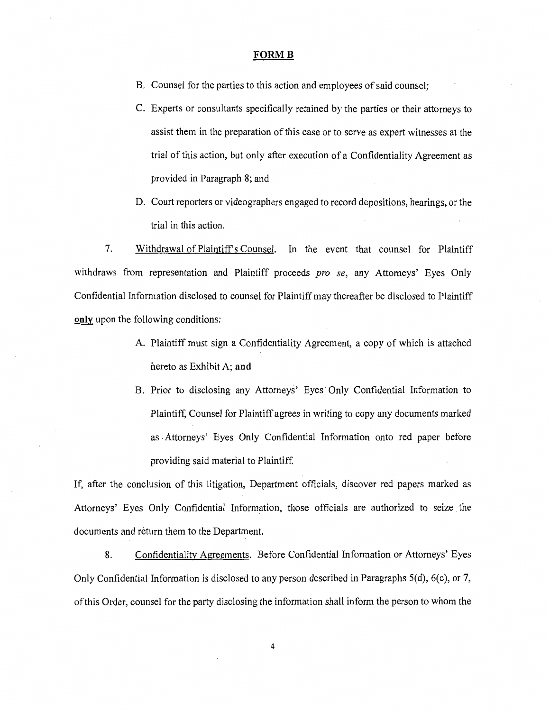- B. Counsel for the parties to this action and employees of said counsel;
- C. Experts or consultants specifically retained by the parties or their attorneys to assist them in the preparation of this case or to serve as expert witnesses at the trial of this action, but only after execution of a Confidentiality Agreement as provided in Paragraph 8; and
- D. Court reporters or videographers engaged to record depositions, hearings, or the trial in this action.

7. Withdrawal of Plaintiffs Counsel. In the event that counsel for Plaintiff withdraws from representation and Plaintiff proceeds *pro se,* any Attorneys' Eyes Only Confidential Information disclosed to counsel for Plaintiff may thereafter be disclosed to Plaintiff **only** upon the following conditions:

- A. Plaintiff must sign a Confidentiality Agreement, a copy of which is attached hereto as Exhibit A; **and**
- B. Prior to disclosing any Attorneys' Eyes Only Confidential Information to Plaintiff, Counsel for Plaintiff agrees in writing to copy any documents marked as . Attorneys' Eyes Only Confidential Information onto red paper before providing said material to Plaintiff.

If, after the conclusion of this litigation, Department officials, discover red papers marked as Attorneys' Eyes Only Confidential Information, those officials are authorized to seize the documents and return them to the Department.

8. Confidentiality Agreements. Before Confidential Information or Attorneys' Eyes Only Confidential Information is disclosed to any person described in Paragraphs 5(d), 6(c), or 7, of this Order, counsel for the party disclosing the information shall inform the person to whom the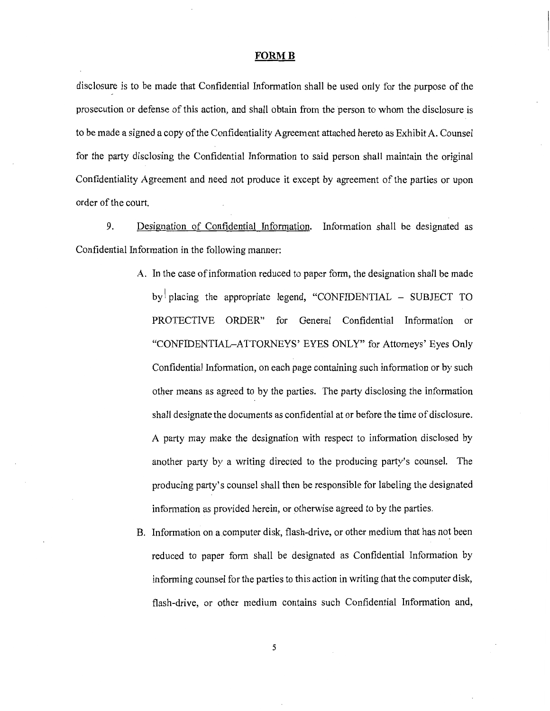disclosure is to be made that Confidential Information shall be used only for the purpose of the prosecution or defense of this action, and shall obtain from the person to whom the disclosure is to be made a signed a copy of the Confidentiality Agreement attached hereto as Exhibit A. Counsel for the party disclosing the Confidential Information to said person shall maintain the original Confidentiality Agreement and need not produce it except by agreement of the parties or upon order of the court.

9. Designation of Confidential Information. Information shall be designated as Confidential Information in the following manner:

- A. In the case of information reduced to paper form, the designation shall be made by placing the appropriate legend, "CONFIDENTIAL  $-$  SUBJECT TO PROTECTIVE ORDER" for General Confidential Information or "CONFIDENTIAL-ATTORNEYS' EYES ONLY" for Attorneys' Eyes Only Confidential Information, on each page containing such information or by such other means as agreed to by the parties. The party disclosing the information shall designate the documents as confidential at or before the time of disclosure. A party may make the designation with respect to information disclosed by another party by a writing directed to the producing party's counsel. The producing party's counsel shall then be responsible for labeling the designated information as provided herein, or otherwise agreed to by the parties.
- B. Information on a computer disk, flash-drive, or other medium that has not been reduced to paper form shall be designated as Confidential Information by informing counsel for the parties to this action in writing that the computer disk, flash-drive, or other medium contains such Confidential Information and,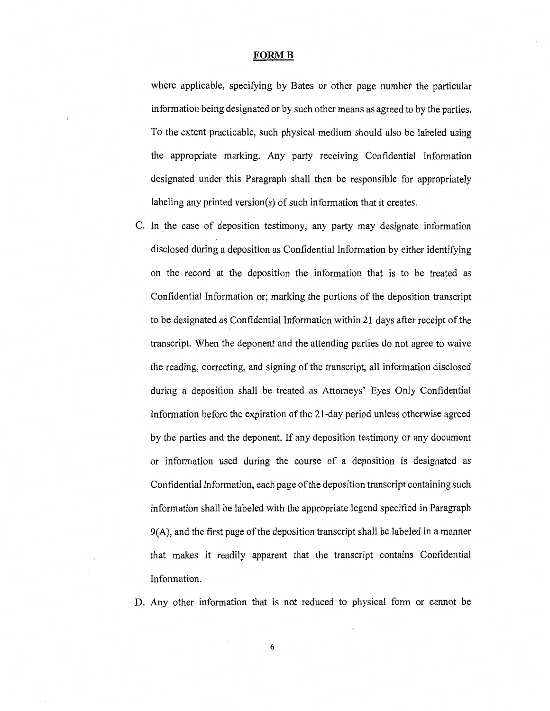where applicable, specifying by Bates or other page number the particular information being designated or by such other means as agreed to by the parties. To the extent practicable, such physical medium should also be labeled using the appropriate marking. Any party receiving Confidential Information designated under this Paragraph shall then be responsible for appropriately labeling any printed version(s) of such information that it creates.

C. In the case of deposition testimony, any party may designate information disclosed during a deposition as Confidential Information by either identifying on the record at the deposition the information that is to be treated as Confidential Information or; marking the portions of the deposition transcript to be designated as Confidential Information within 21 days after receipt of the transcript. When the deponent and the attending parties do not agree to waive the reading, correcting, and signing of the transcript, all information disclosed during a deposition shall be treated as Attorneys' Eyes Only Confidential Information before the expiration of the 21-day period unless otherwise agreed by the parties and the deponent. If any deposition testimony or any document or information used during the course of a deposition is designated as Confidential Information, each page of the deposition transcript containing such information shall be labeled with the appropriate legend specified in Paragraph 9(A), and the first page of the deposition transcript shall be labeled in a manner that makes it readily apparent that the transcript contains Confidential Information.

D. Any other information that is not reduced to physical form or cannot be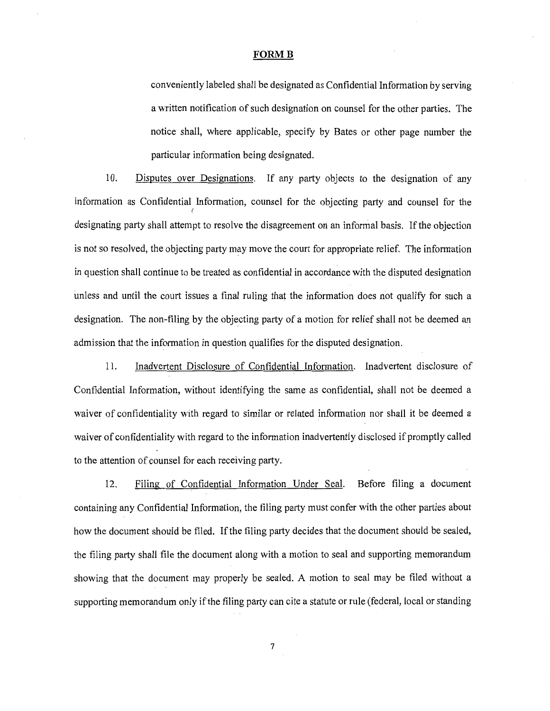conveniently labeled shall be designated as Confidential Information by serving a written notification of such designation on counsel for the other parties. The notice shall, where applicable, specify by Bates or other page number the particular information being designated.

10. Disputes over Designations. If any party objects to the designation of any information as Confidential Information, counsel for the objecting party and counsel for the *(*  designating party shall attempt to resolve the disagreement on an informal basis. If the objection is not so resolved, the objecting party may move the court for appropriate relief. The information in question shall continue to be treated as confidential in accordance with the disputed designation unless and until the court issues a final ruling that the information does not qualify for such a designation. The non-filing by the objecting party of a motion for relief shall not be deemed an admission that the information in question qualifies for the disputed designation.

11. Inadvertent Disclosure of Confidential Information. Inadvertent disclosure of Confidential Information, without identifying the same as confidential, shall not be deemed a waiver of confidentiality with regard to similar or related information nor shall it be deemed a waiver of confidentiality with regard to the information inadvertently disclosed if promptly called to the attention of counsel for each receiving party.

12. Filing of Confidential Information Under Seal. Before filing a document containing any Confidential Information, the filing party must confer with the other parties about how the document should be filed. If the filing party decides that the document should be sealed, the filing party shall file the document along with a motion to seal and supporting memorandum showing that the document may properly be sealed. A motion to seal may be filed without a supporting memorandum only if the filing party can cite a statute or rule (federal, local or standing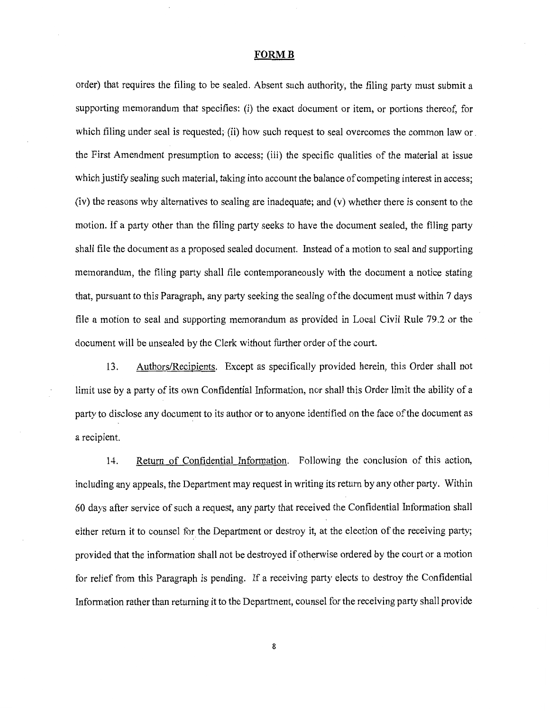order) that requires the filing to be sealed. Absent such authority, the filing party must submit a supporting memorandum that specifies: (i) the exact document or item, or portions thereof, for which filing under seal is requested; (ii) how such request to seal overcomes the common law or. the First Amendment presumption to access; (iii) the specific qualities of the material at issue which justify sealing such material, taking into account the balance of competing interest in access; (iv) the reasons why alternatives to sealing are inadequate; and (v) whether there is consent to the motion. If a party other than the filing party seeks to have the document sealed, the filing party shall file the document as a proposed sealed document. Instead of a motion to seal and supporting memorandum, the filing party shall file contemporaneously with the document a notice stating that, pursuant to this Paragraph, any party seeking the sealing of the document must within 7 days file a motion to seal and supporting memorandum as provided in Local Civil Rule 79.2 or the document will be unsealed by the Clerk without further order of the court.

13. Authors/Recipients. Except as specifically provided herein, this Order shall not limit use by a party of its own Confidential Information, nor shall this Order limit the ability of a party to disclose any document to its author or to anyone identified on the face of the document as a recipient.

14. Return of Confidential Information. Following the conclusion of this action, including any appeals, the Department may request in writing its return by any other party. Within 60 days after service of such a request, any party that received the Confidential Information shall either return it to counsel for the Department or destroy it, at the election of the receiving party; provided that the information shall not be destroyed if otherwise ordered by the court or a motion for relief from this Paragraph is pending. If a receiving party elects to destroy the Confidential Information rather than returning it to the Department, counsel for the receiving party shall provide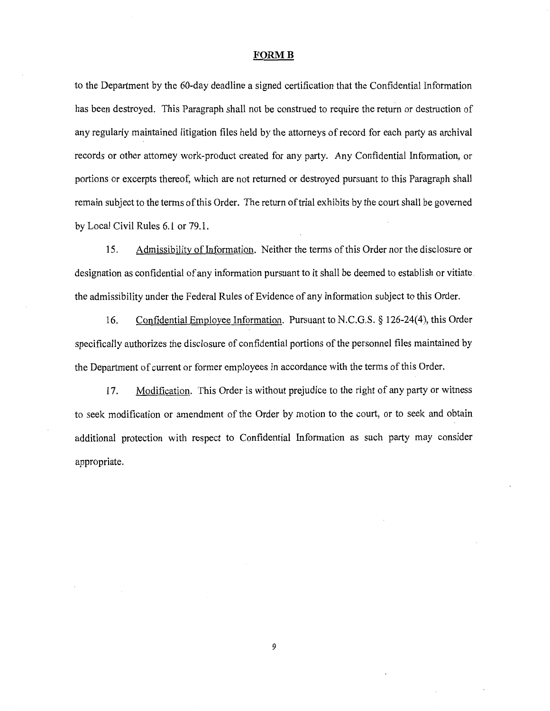to the Department by the 60-day deadline a signed certification that the Confidential Information has been destroyed. This Paragraph shall not be construed to require the return or destruction of any regularly maintained litigation files held by the attorneys of record for each party as archival records or other attorney work-product created for any party. Any Confidential Information, or portions or excerpts thereof, which are not returned or destroyed pursuant to this Paragraph shall remain subject to the terms of this Order. The return of trial exhibits by the court shall be governed by Local Civil Rules 6.1 or 79.1.

15. Admissibility of Information. Neither the terms of this Order nor the disclosure or designation as confidential of any information pursuant to it shall be deemed to establish or vitiate. the admissibility under the Federal Rules of Evidence of any information subject to this Order.

16. Confidential Employee Information. Pursuant to N.C.G.S. § 126-24(4), this Order specifically authorizes the disclosure of confidential portions of the personnel files maintained by the Department of current or former employees in accordance with the terms of this Order.

17. Modification. This Order is without prejudice to the right of any party or witness to seek modification or amendment of the Order by motion to the court, or to seek and obtain additional protection with respect to Confidential Information as such party may consider appropriate.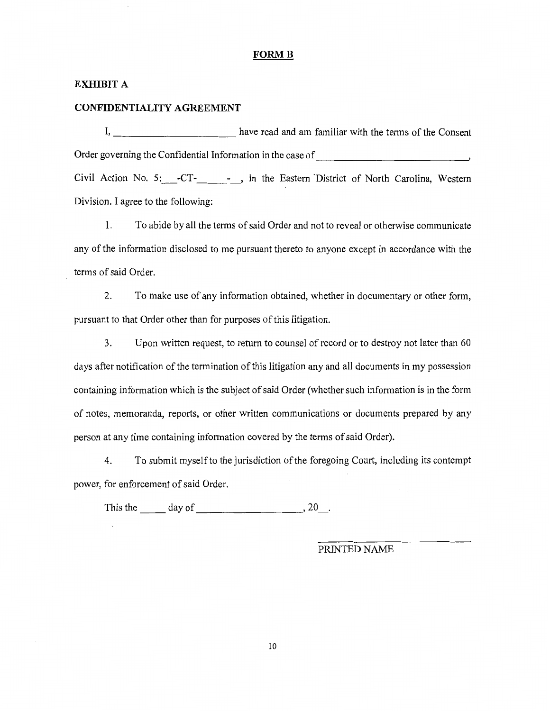# **EXHIBIT A**

#### **CONFIDENTIALITY AGREEMENT**

I, \_\_\_\_\_\_\_\_\_\_\_ have read and am familiar with the terms of the Consent Order governing the Confidential Information in the case of  $\cdot$ Civil Action No. 5: -CT-<sub>---</sub>, in the Eastern District of North Carolina, Western Division. I agree to the following:

1. To abide by all the terms of said Order and not to reveal or otherwise communicate any of the information disclosed to me pursuant thereto to anyone except in accordance with the terms of said Order.

2. To make use of any information obtained, whether in documentary or other form, pursuant to that Order other than for purposes of this litigation.

3. Upon written request, to return to counsel ofrecord or to destroy not later than 60 days after notification of the termination of this litigation any and all documents in my possession containing information which is the subject of said Order (whether such information is in the form of notes, memoranda, reports, or other written communications or documents prepared by any person at any time containing information covered by the terms of said Order).

4. To submit myself to the jurisdiction of the foregoing Court, including its contempt power, for enforcement of said Order.

This the  $\qquad \qquad$  day of  $\qquad \qquad$ , 20\_.

PRINTED NAME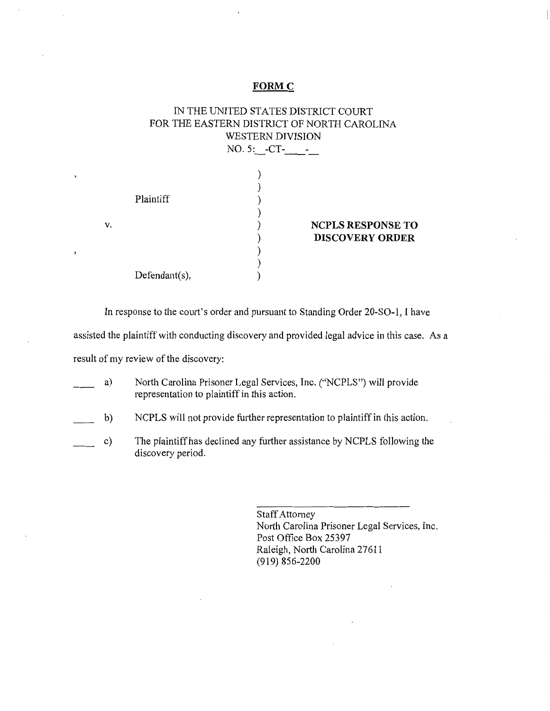#### **FORMC**

# IN THE UNITED STATES DISTRICT COURT FOR THE EASTERN DISTRICT OF NORTH CAROLINA WESTERN DIVISION Plaintiff NO. 5: -CT- -) ) ) ) ) ) ) ) **NCPLS RESPONSE TO DISCOVERY ORDER**

In response to the court's order and pursuant to Standing Order 20-SO-l, I have

assisted the plaintiff with conducting discovery and provided legal advice in this case. As a

)

result of my review of the discovery:

Defendant(s),

V.

 $\overline{\phantom{a}}$ 

- a) North Carolina Prisoner Legal Services, Inc. ("NCPLS") will provide representation to plaintiff in this action.
- b) NCPLS will not provide further representation to plaintiff in this action.
- c) The plaintiff has declined any further assistance by NCPLS following the discovery period.

Staff Attorney North Carolina Prisoner Legal Services, Inc. Post Office Box 25397 Raleigh, North Carolina 27611 (919) 856-2200